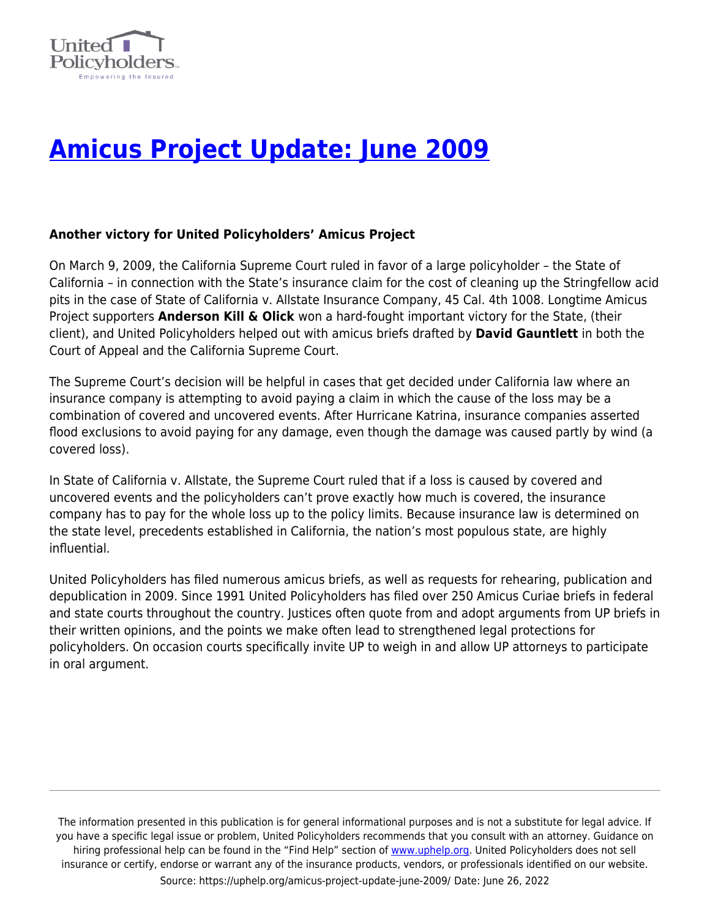

# **[Amicus Project Update: June 2009](https://uphelp.org/amicus-project-update-june-2009/)**

#### **Another victory for United Policyholders' Amicus Project**

On March 9, 2009, the California Supreme Court ruled in favor of a large policyholder – the State of California – in connection with the State's insurance claim for the cost of cleaning up the Stringfellow acid pits in the case of State of California v. Allstate Insurance Company, 45 Cal. 4th 1008. Longtime Amicus Project supporters **Anderson Kill & Olick** won a hard-fought important victory for the State, (their client), and United Policyholders helped out with amicus briefs drafted by **David Gauntlett** in both the Court of Appeal and the California Supreme Court.

The Supreme Court's decision will be helpful in cases that get decided under California law where an insurance company is attempting to avoid paying a claim in which the cause of the loss may be a combination of covered and uncovered events. After Hurricane Katrina, insurance companies asserted flood exclusions to avoid paying for any damage, even though the damage was caused partly by wind (a covered loss).

In State of California v. Allstate, the Supreme Court ruled that if a loss is caused by covered and uncovered events and the policyholders can't prove exactly how much is covered, the insurance company has to pay for the whole loss up to the policy limits. Because insurance law is determined on the state level, precedents established in California, the nation's most populous state, are highly influential.

United Policyholders has filed numerous amicus briefs, as well as requests for rehearing, publication and depublication in 2009. Since 1991 United Policyholders has filed over 250 Amicus Curiae briefs in federal and state courts throughout the country. Justices often quote from and adopt arguments from UP briefs in their written opinions, and the points we make often lead to strengthened legal protections for policyholders. On occasion courts specifically invite UP to weigh in and allow UP attorneys to participate in oral argument.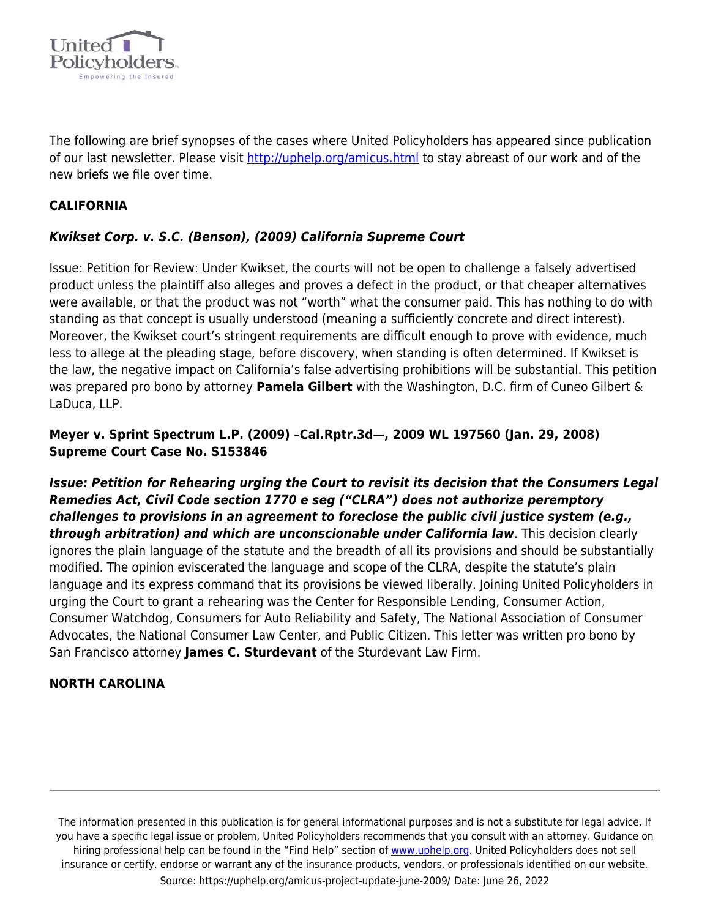

The following are brief synopses of the cases where United Policyholders has appeared since publication of our last newsletter. Please visit [http://uphelp.org/amicus.html](http://uphelp.org/amicus.html%20) to stay abreast of our work and of the new briefs we file over time.

## **CALIFORNIA**

## *Kwikset Corp. v. S.C. (Benson), (2009) California Supreme Court*

Issue: Petition for Review: Under Kwikset, the courts will not be open to challenge a falsely advertised product unless the plaintiff also alleges and proves a defect in the product, or that cheaper alternatives were available, or that the product was not "worth" what the consumer paid. This has nothing to do with standing as that concept is usually understood (meaning a sufficiently concrete and direct interest). Moreover, the Kwikset court's stringent requirements are difficult enough to prove with evidence, much less to allege at the pleading stage, before discovery, when standing is often determined. If Kwikset is the law, the negative impact on California's false advertising prohibitions will be substantial. This petition was prepared pro bono by attorney **Pamela Gilbert** with the Washington, D.C. firm of Cuneo Gilbert & LaDuca, LLP.

## **Meyer v. Sprint Spectrum L.P. (2009) –Cal.Rptr.3d—, 2009 WL 197560 (Jan. 29, 2008) Supreme Court Case No. S153846**

*Issue: Petition for Rehearing urging the Court to revisit its decision that the Consumers Legal Remedies Act, Civil Code section 1770 e seg ("CLRA") does not authorize peremptory challenges to provisions in an agreement to foreclose the public civil justice system (e.g., through arbitration) and which are unconscionable under California law*. This decision clearly ignores the plain language of the statute and the breadth of all its provisions and should be substantially modified. The opinion eviscerated the language and scope of the CLRA, despite the statute's plain language and its express command that its provisions be viewed liberally. Joining United Policyholders in urging the Court to grant a rehearing was the Center for Responsible Lending, Consumer Action, Consumer Watchdog, Consumers for Auto Reliability and Safety, The National Association of Consumer Advocates, the National Consumer Law Center, and Public Citizen. This letter was written pro bono by San Francisco attorney **James C. Sturdevant** of the Sturdevant Law Firm.

## **NORTH CAROLINA**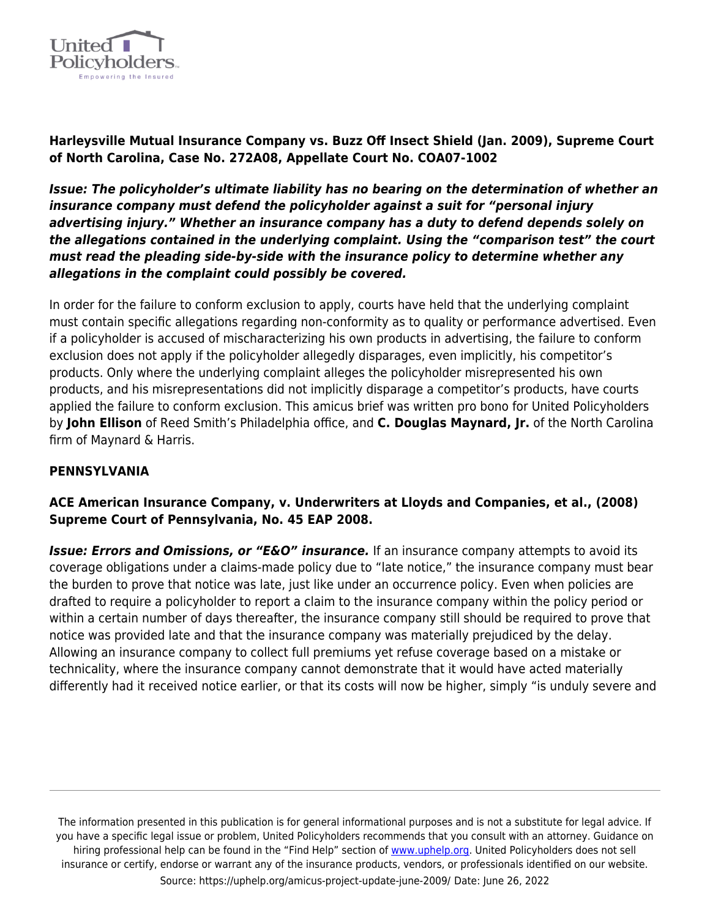

**Harleysville Mutual Insurance Company vs. Buzz Off Insect Shield (Jan. 2009), Supreme Court of North Carolina, Case No. 272A08, Appellate Court No. COA07-1002**

*Issue: The policyholder's ultimate liability has no bearing on the determination of whether an insurance company must defend the policyholder against a suit for "personal injury advertising injury." Whether an insurance company has a duty to defend depends solely on the allegations contained in the underlying complaint. Using the "comparison test" the court must read the pleading side-by-side with the insurance policy to determine whether any allegations in the complaint could possibly be covered.*

In order for the failure to conform exclusion to apply, courts have held that the underlying complaint must contain specific allegations regarding non-conformity as to quality or performance advertised. Even if a policyholder is accused of mischaracterizing his own products in advertising, the failure to conform exclusion does not apply if the policyholder allegedly disparages, even implicitly, his competitor's products. Only where the underlying complaint alleges the policyholder misrepresented his own products, and his misrepresentations did not implicitly disparage a competitor's products, have courts applied the failure to conform exclusion. This amicus brief was written pro bono for United Policyholders by **John Ellison** of Reed Smith's Philadelphia office, and **C. Douglas Maynard, Jr.** of the North Carolina firm of Maynard & Harris.

#### **PENNSYLVANIA**

#### **ACE American Insurance Company, v. Underwriters at Lloyds and Companies, et al., (2008) Supreme Court of Pennsylvania, No. 45 EAP 2008.**

**Issue: Errors and Omissions, or "E&O" insurance.** If an insurance company attempts to avoid its coverage obligations under a claims-made policy due to "late notice," the insurance company must bear the burden to prove that notice was late, just like under an occurrence policy. Even when policies are drafted to require a policyholder to report a claim to the insurance company within the policy period or within a certain number of days thereafter, the insurance company still should be required to prove that notice was provided late and that the insurance company was materially prejudiced by the delay. Allowing an insurance company to collect full premiums yet refuse coverage based on a mistake or technicality, where the insurance company cannot demonstrate that it would have acted materially differently had it received notice earlier, or that its costs will now be higher, simply "is unduly severe and